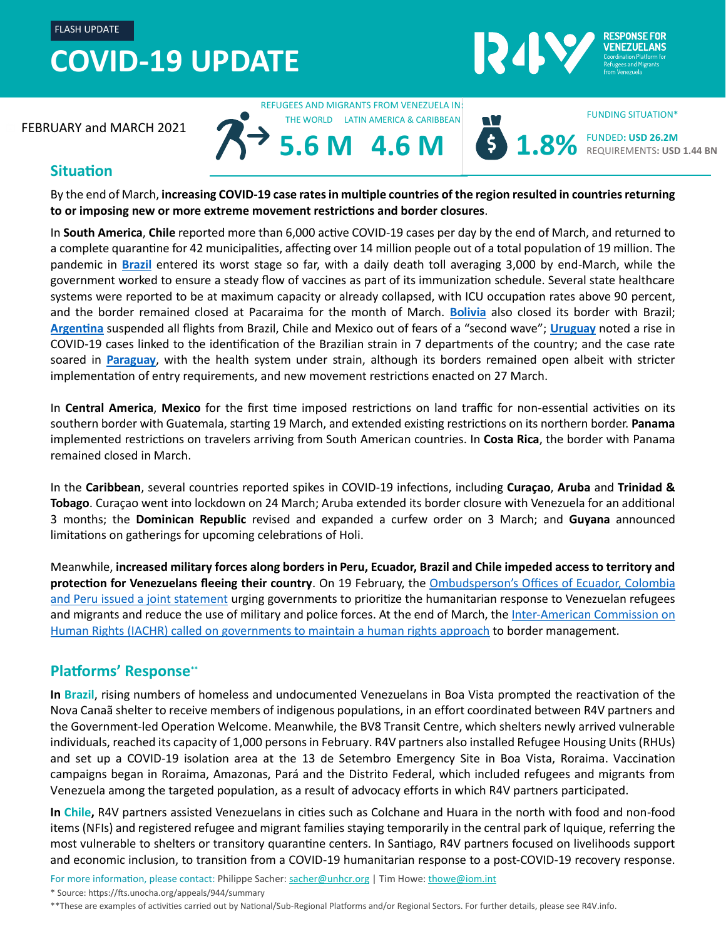### **COVID-19 UPDATE**  FLASH UPDATE



FEBRUARY and MARCH 2021

REFUGEES AND MIGRANTS FROM VENEZUELA IN: THE WORLD LATIN AMERICA & CARIBBEAN

**5.6 M**



FUNDED**: USD 26.2M** REQUIREMENTS**: USD 1.44 BN**

FUNDING SITUATION\*

### **Situation**

By the end of March, **increasing COVID-19 case rates in multiple countries of the region resulted in countries returning to or imposing new or more extreme movement restrictions and border closures**.

**4.6 M**

In **South America**, **Chile** reported more than 6,000 active COVID-19 cases per day by the end of March, and returned to a complete quarantine for 42 municipalities, affecting over 14 million people out of a total population of 19 million. The pandemic in **[Brazil](https://covid19.who.int/region/amro/country/br)** entered its worst stage so far, with a daily death toll averaging 3,000 by end-March, while the government worked to ensure a steady flow of vaccines as part of its immunization schedule. Several state healthcare systems were reported to be at maximum capacity or already collapsed, with ICU occupation rates above 90 percent, and the border remained closed at Pacaraima for the month of March. **[Bolivia](https://covid19.who.int/region/amro/country/bo)** also closed its border with Brazil; **[Argentina](https://covid19.who.int/region/amro/country/ar)** suspended all flights from Brazil, Chile and Mexico out of fears of a "second wave"; **[Uruguay](https://covid19.who.int/region/amro/country/uy)** noted a rise in COVID-19 cases linked to the identification of the Brazilian strain in 7 departments of the country; and the case rate soared in **[Paraguay](https://covid19.who.int/region/amro/country/py)**, with the health system under strain, although its borders remained open albeit with stricter implementation of entry requirements, and new movement restrictions enacted on 27 March.

In **Central America**, **Mexico** for the first time imposed restrictions on land traffic for non-essential activities on its southern border with Guatemala, starting 19 March, and extended existing restrictions on its northern border. **Panama** implemented restrictions on travelers arriving from South American countries. In **Costa Rica**, the border with Panama remained closed in March.

In the **Caribbean**, several countries reported spikes in COVID-19 infections, including **Curaçao**, **Aruba** and **Trinidad & Tobago**. Curaçao went into lockdown on 24 March; Aruba extended its border closure with Venezuela for an additional 3 months; the **Dominican Republic** revised and expanded a curfew order on 3 March; and **Guyana** announced limitations on gatherings for upcoming celebrations of Holi.

Meanwhile, **increased military forces along borders in Peru, Ecuador, Brazil and Chile impeded access to territory and protection for Venezuelans fleeing their country**. On 19 February, the [Ombudsperson's Offices of Ecuador, Colombia](https://www.rindhca.org/institucional/declaraciones-pronunciamientos/pronunciamiento-conjunto-de-las-defensorias-del-pueblo-de-ecuador-colombia-y-peru-a-sus-gobiernos-y-a-la-sociedad-civil-de-sus-naciones)  [and Peru issued a joint statement](https://www.rindhca.org/institucional/declaraciones-pronunciamientos/pronunciamiento-conjunto-de-las-defensorias-del-pueblo-de-ecuador-colombia-y-peru-a-sus-gobiernos-y-a-la-sociedad-civil-de-sus-naciones) urging governments to prioritize the humanitarian response to Venezuelan refugees and migrants and reduce the use of military and police forces. At the end of March, the Inter-American Commission on [Human Rights \(IACHR\) called on governments to maintain a human rights approach](http://www.oas.org/es/CIDH/jsForm/?File=/es/cidh/prensa/comunicados/2021/082.asp) to border management.

### **Platforms' Response\*\***

**In Brazil**, rising numbers of homeless and undocumented Venezuelans in Boa Vista prompted the reactivation of the Nova Canaã shelter to receive members of indigenous populations, in an effort coordinated between R4V partners and the Government-led Operation Welcome. Meanwhile, the BV8 Transit Centre, which shelters newly arrived vulnerable individuals, reached its capacity of 1,000 persons in February. R4V partners also installed Refugee Housing Units (RHUs) and set up a COVID-19 isolation area at the 13 de Setembro Emergency Site in Boa Vista, Roraima. Vaccination campaigns began in Roraima, Amazonas, Pará and the Distrito Federal, which included refugees and migrants from Venezuela among the targeted population, as a result of advocacy efforts in which R4V partners participated.

**In Chile,** R4V partners assisted Venezuelans in cities such as Colchane and Huara in the north with food and non-food items (NFIs) and registered refugee and migrant families staying temporarily in the central park of Iquique, referring the most vulnerable to shelters or transitory quarantine centers. In Santiago, R4V partners focused on livelihoods support and economic inclusion, to transition from a COVID-19 humanitarian response to a post-COVID-19 recovery response.

For more information, please contact: Philippe Sacher: [sacher@unhcr.org](mailto:sacher@unhcr.org) | Tim Howe[: thowe@iom.int](mailto:thowe@iom.int)

\* Source[: https://fts.unocha.org/appeals/944/summary](https://fts.unocha.org/appeals/944/summary)

\*\*These are examples of activities carried out by National/Sub-Regional Platforms and/or Regional Sectors. For further details, please see R4V.info.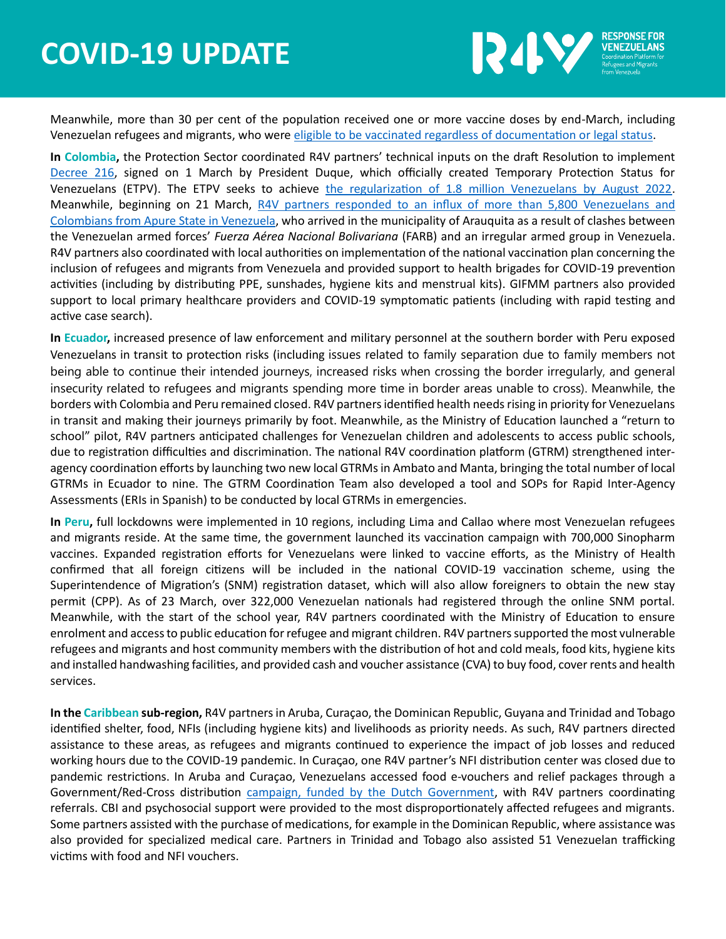## **COVID-19 UPDATE**



Meanwhile, more than 30 per cent of the population received one or more vaccine doses by end-March, including Venezuelan refugees and migrants, who were [eligible to be vaccinated regardless of documentation or legal status](https://www.swissinfo.ch/spa/coronavirus-chile_chile-rectifica-y-dice-que-s%C3%AD-vacunar%C3%A1-a-migrantes-irregulares-tras-pol%C3%A9mica/46364826).

**In Colombia,** the Protection Sector coordinated R4V partners' technical inputs on the draft Resolution to implement [Decree 216,](https://dapre.presidencia.gov.co/normativa/normativa/DECRETO%20216%20DEL%201%20DE%20MARZO%20DE%202021.pdf) signed on 1 March by President Duque, which officially created Temporary Protection Status for Venezuelans (ETPV). The ETPV seeks to achieve [the regularization of 1.8 million Venezuelans by August 2022.](https://idm.presidencia.gov.co/prensa/el-gobierno-nacional-espera-que-1-8-millones-de-migrantes-venezolanos-tenga-210301) Meanwhile, beginning on 21 March, [R4V partners responded to an influx of more than 5,800 Venezuelans and](https://r4v.info/es/documents/details/85851)  [Colombians from Apure State in Venezuela,](https://r4v.info/es/documents/details/85851) who arrived in the municipality of Arauquita as a result of clashes between the Venezuelan armed forces' *Fuerza Aérea Nacional Bolivariana* (FARB) and an irregular armed group in Venezuela. R4V partners also coordinated with local authorities on implementation of the national vaccination plan concerning the inclusion of refugees and migrants from Venezuela and provided support to health brigades for COVID-19 prevention activities (including by distributing PPE, sunshades, hygiene kits and menstrual kits). GIFMM partners also provided support to local primary healthcare providers and COVID-19 symptomatic patients (including with rapid testing and active case search).

**In Ecuador,** increased presence of law enforcement and military personnel at the southern border with Peru exposed Venezuelans in transit to protection risks (including issues related to family separation due to family members not being able to continue their intended journeys, increased risks when crossing the border irregularly, and general insecurity related to refugees and migrants spending more time in border areas unable to cross). Meanwhile, the borders with Colombia and Peru remained closed. R4V partners identified health needs rising in priority for Venezuelans in transit and making their journeys primarily by foot. Meanwhile, as the Ministry of Education launched a "return to school" pilot, R4V partners anticipated challenges for Venezuelan children and adolescents to access public schools, due to registration difficulties and discrimination. The national R4V coordination platform (GTRM) strengthened interagency coordination efforts by launching two new local GTRMs in Ambato and Manta, bringing the total number of local GTRMs in Ecuador to nine. The GTRM Coordination Team also developed a tool and SOPs for Rapid Inter-Agency Assessments (ERIs in Spanish) to be conducted by local GTRMs in emergencies.

**In Peru,** full lockdowns were implemented in 10 regions, including Lima and Callao where most Venezuelan refugees and migrants reside. At the same time, the government launched its vaccination campaign with 700,000 Sinopharm vaccines. Expanded registration efforts for Venezuelans were linked to vaccine efforts, as the Ministry of Health confirmed that all foreign citizens will be included in the national COVID-19 vaccination scheme, using the Superintendence of Migration's (SNM) registration dataset, which will also allow foreigners to obtain the new stay permit (CPP). As of 23 March, over 322,000 Venezuelan nationals had registered through the online SNM portal. Meanwhile, with the start of the school year, R4V partners coordinated with the Ministry of Education to ensure enrolment and access to public education for refugee and migrant children. R4V partners supported the most vulnerable refugees and migrants and host community members with the distribution of hot and cold meals, food kits, hygiene kits and installed handwashing facilities, and provided cash and voucher assistance (CVA) to buy food, cover rents and health services.

**In the Caribbean sub-region,** R4V partners in Aruba, Curaçao, the Dominican Republic, Guyana and Trinidad and Tobago identified shelter, food, NFIs (including hygiene kits) and livelihoods as priority needs. As such, R4V partners directed assistance to these areas, as refugees and migrants continued to experience the impact of job losses and reduced working hours due to the COVID-19 pandemic. In Curaçao, one R4V partner's NFI distribution center was closed due to pandemic restrictions. In Aruba and Curaçao, Venezuelans accessed food e-vouchers and relief packages through a Government/Red-Cross distribution [campaign, funded by the Dutch Government,](https://diario.aw/2021/03/gabinete-hulandes-a-asigna-152-miyon-di-euro-mas-pa-aruba-corsou-y-sint-maarten/) with R4V partners coordinating referrals. CBI and psychosocial support were provided to the most disproportionately affected refugees and migrants. Some partners assisted with the purchase of medications, for example in the Dominican Republic, where assistance was also provided for specialized medical care. Partners in Trinidad and Tobago also assisted 51 Venezuelan trafficking victims with food and NFI vouchers.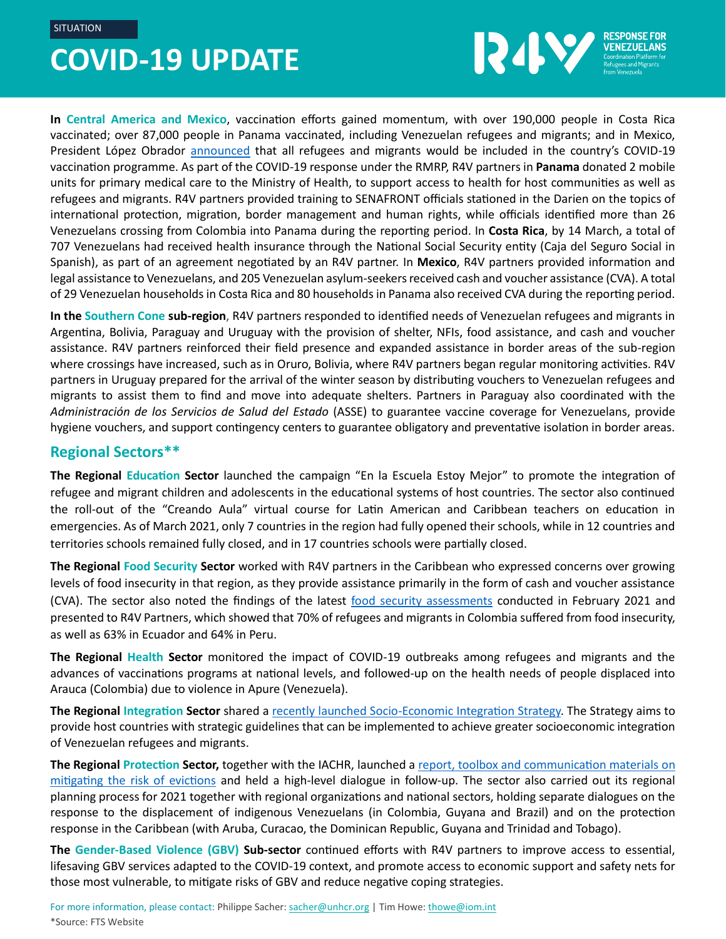**SITUATION** 

# **COVID-19 UPDATE**



**In Central America and Mexico**, vaccination efforts gained momentum, with over 190,000 people in Costa Rica vaccinated; over 87,000 people in Panama vaccinated, including Venezuelan refugees and migrants; and in Mexico, President López Obrador [announced](https://youtu.be/BhmAScMGd5U?t=5819) that all refugees and migrants would be included in the country's COVID-19 vaccination programme. As part of the COVID-19 response under the RMRP, R4V partners in **Panama** donated 2 mobile units for primary medical care to the Ministry of Health, to support access to health for host communities as well as refugees and migrants. R4V partners provided training to SENAFRONT officials stationed in the Darien on the topics of international protection, migration, border management and human rights, while officials identified more than 26 Venezuelans crossing from Colombia into Panama during the reporting period. In **Costa Rica**, by 14 March, a total of 707 Venezuelans had received health insurance through the National Social Security entity (Caja del Seguro Social in Spanish), as part of an agreement negotiated by an R4V partner. In **Mexico**, R4V partners provided information and legal assistance to Venezuelans, and 205 Venezuelan asylum-seekers received cash and voucher assistance (CVA). A total of 29 Venezuelan households in Costa Rica and 80 households in Panama also received CVA during the reporting period.

**In the Southern Cone sub-region**, R4V partners responded to identified needs of Venezuelan refugees and migrants in Argentina, Bolivia, Paraguay and Uruguay with the provision of shelter, NFIs, food assistance, and cash and voucher assistance. R4V partners reinforced their field presence and expanded assistance in border areas of the sub-region where crossings have increased, such as in Oruro, Bolivia, where R4V partners began regular monitoring activities. R4V partners in Uruguay prepared for the arrival of the winter season by distributing vouchers to Venezuelan refugees and migrants to assist them to find and move into adequate shelters. Partners in Paraguay also coordinated with the *Administración de los Servicios de Salud del Estado* (ASSE) to guarantee vaccine coverage for Venezuelans, provide hygiene vouchers, and support contingency centers to guarantee obligatory and preventative isolation in border areas.

#### **Regional Sectors\*\***

**The Regional Education Sector** launched the campaign "En la Escuela Estoy Mejor" to promote the integration of refugee and migrant children and adolescents in the educational systems of host countries. The sector also continued the roll-out of the "Creando Aula" virtual course for Latin American and Caribbean teachers on education in emergencies. As of March 2021, only 7 countries in the region had fully opened their schools, while in 12 countries and territories schools remained fully closed, and in 17 countries schools were partially closed.

**The Regional Food Security Sector** worked with R4V partners in the Caribbean who expressed concerns over growing levels of food insecurity in that region, as they provide assistance primarily in the form of cash and voucher assistance (CVA). The sector also noted the findings of the latest [food security assessments](https://reliefweb.int/sites/reliefweb.int/files/resources/COVID-19%20food%20security%20update%20-%20Venezuelan%20migrants%20in%20Colombia%2C%20Ecuador%20and%20Peru%20%28February%202021%29.pdf) conducted in February 2021 and presented to R4V Partners, which showed that 70% of refugees and migrants in Colombia suffered from food insecurity, as well as 63% in Ecuador and 64% in Peru.

**The Regional Health Sector** monitored the impact of COVID-19 outbreaks among refugees and migrants and the advances of vaccinations programs at national levels, and followed-up on the health needs of people displaced into Arauca (Colombia) due to violence in Apure (Venezuela).

**The Regional Integration Sector** shared a [recently launched Socio-Economic Integration Strategy.](https://r4v.info/es/documents/details/85348) The Strategy aims to provide host countries with strategic guidelines that can be implemented to achieve greater socioeconomic integration of Venezuelan refugees and migrants.

**The Regional Protection Sector,** together with the IACHR, launched a [report, toolbox and communication materials on](https://r4v.info/es/working-group/285?sv=39&geo=0)  [mitigating the risk of evictions](https://r4v.info/es/working-group/285?sv=39&geo=0) and held a high-level dialogue in follow-up. The sector also carried out its regional planning process for 2021 together with regional organizations and national sectors, holding separate dialogues on the response to the displacement of indigenous Venezuelans (in Colombia, Guyana and Brazil) and on the protection response in the Caribbean (with Aruba, Curacao, the Dominican Republic, Guyana and Trinidad and Tobago).

**The Gender-Based Violence (GBV) Sub-sector** continued efforts with R4V partners to improve access to essential, lifesaving GBV services adapted to the COVID-19 context, and promote access to economic support and safety nets for those most vulnerable, to mitigate risks of GBV and reduce negative coping strategies.